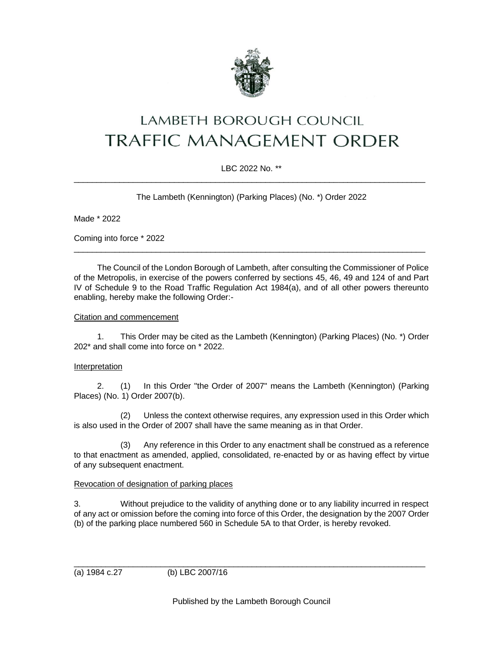

# **LAMBETH BOROUGH COUNCIL TRAFFIC MANAGEMENT ORDER**

## LBC 2022 No. \*\*  $\_$  ,  $\_$  ,  $\_$  ,  $\_$  ,  $\_$  ,  $\_$  ,  $\_$  ,  $\_$  ,  $\_$  ,  $\_$  ,  $\_$  ,  $\_$  ,  $\_$  ,  $\_$  ,  $\_$  ,  $\_$  ,  $\_$  ,  $\_$  ,  $\_$  ,  $\_$  ,  $\_$  ,  $\_$  ,  $\_$  ,  $\_$  ,  $\_$  ,  $\_$  ,  $\_$  ,  $\_$  ,  $\_$  ,  $\_$  ,  $\_$  ,  $\_$  ,  $\_$  ,  $\_$  ,  $\_$  ,  $\_$  ,  $\_$  ,

The Lambeth (Kennington) (Parking Places) (No. \*) Order 2022

Made \* 2022

Coming into force \* 2022

The Council of the London Borough of Lambeth, after consulting the Commissioner of Police of the Metropolis, in exercise of the powers conferred by sections 45, 46, 49 and 124 of and Part IV of Schedule 9 to the Road Traffic Regulation Act 1984(a), and of all other powers thereunto enabling, hereby make the following Order:-

\_\_\_\_\_\_\_\_\_\_\_\_\_\_\_\_\_\_\_\_\_\_\_\_\_\_\_\_\_\_\_\_\_\_\_\_\_\_\_\_\_\_\_\_\_\_\_\_\_\_\_\_\_\_\_\_\_\_\_\_\_\_\_\_\_\_\_\_\_\_\_\_\_\_\_\_\_

#### Citation and commencement

1. This Order may be cited as the Lambeth (Kennington) (Parking Places) (No. \*) Order 202\* and shall come into force on \* 2022.

### Interpretation

2. (1) In this Order "the Order of 2007" means the Lambeth (Kennington) (Parking Places) (No. 1) Order 2007(b).

(2) Unless the context otherwise requires, any expression used in this Order which is also used in the Order of 2007 shall have the same meaning as in that Order.

(3) Any reference in this Order to any enactment shall be construed as a reference to that enactment as amended, applied, consolidated, re-enacted by or as having effect by virtue of any subsequent enactment.

### Revocation of designation of parking places

3. Without prejudice to the validity of anything done or to any liability incurred in respect of any act or omission before the coming into force of this Order, the designation by the 2007 Order (b) of the parking place numbered 560 in Schedule 5A to that Order, is hereby revoked.

\_\_\_\_\_\_\_\_\_\_\_\_\_\_\_\_\_\_\_\_\_\_\_\_\_\_\_\_\_\_\_\_\_\_\_\_\_\_\_\_\_\_\_\_\_\_\_\_\_\_\_\_\_\_\_\_\_\_\_\_\_\_\_\_\_\_\_\_\_\_\_\_\_\_\_\_\_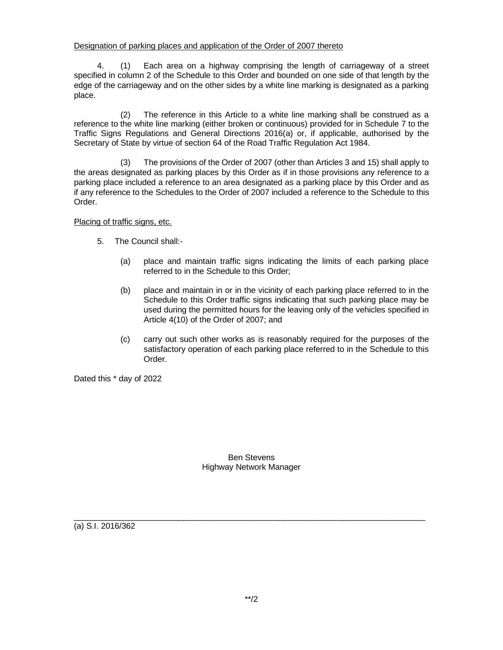### Designation of parking places and application of the Order of 2007 thereto

4. (1) Each area on a highway comprising the length of carriageway of a street specified in column 2 of the Schedule to this Order and bounded on one side of that length by the edge of the carriageway and on the other sides by a white line marking is designated as a parking place.

(2) The reference in this Article to a white line marking shall be construed as a reference to the white line marking (either broken or continuous) provided for in Schedule 7 to the Traffic Signs Regulations and General Directions 2016(a) or, if applicable, authorised by the Secretary of State by virtue of section 64 of the Road Traffic Regulation Act 1984.

(3) The provisions of the Order of 2007 (other than Articles 3 and 15) shall apply to the areas designated as parking places by this Order as if in those provisions any reference to a parking place included a reference to an area designated as a parking place by this Order and as if any reference to the Schedules to the Order of 2007 included a reference to the Schedule to this Order.

Placing of traffic signs, etc.

- 5. The Council shall:-
	- (a) place and maintain traffic signs indicating the limits of each parking place referred to in the Schedule to this Order;
	- (b) place and maintain in or in the vicinity of each parking place referred to in the Schedule to this Order traffic signs indicating that such parking place may be used during the permitted hours for the leaving only of the vehicles specified in Article 4(10) of the Order of 2007; and
	- (c) carry out such other works as is reasonably required for the purposes of the satisfactory operation of each parking place referred to in the Schedule to this Order.

Dated this \* day of 2022

Ben Stevens Highway Network Manager

 $\_$  ,  $\_$  ,  $\_$  ,  $\_$  ,  $\_$  ,  $\_$  ,  $\_$  ,  $\_$  ,  $\_$  ,  $\_$  ,  $\_$  ,  $\_$  ,  $\_$  ,  $\_$  ,  $\_$  ,  $\_$  ,  $\_$  ,  $\_$  ,  $\_$  ,  $\_$  ,  $\_$  ,  $\_$  ,  $\_$  ,  $\_$  ,  $\_$  ,  $\_$  ,  $\_$  ,  $\_$  ,  $\_$  ,  $\_$  ,  $\_$  ,  $\_$  ,  $\_$  ,  $\_$  ,  $\_$  ,  $\_$  ,  $\_$  , (a) S.I. 2016/362